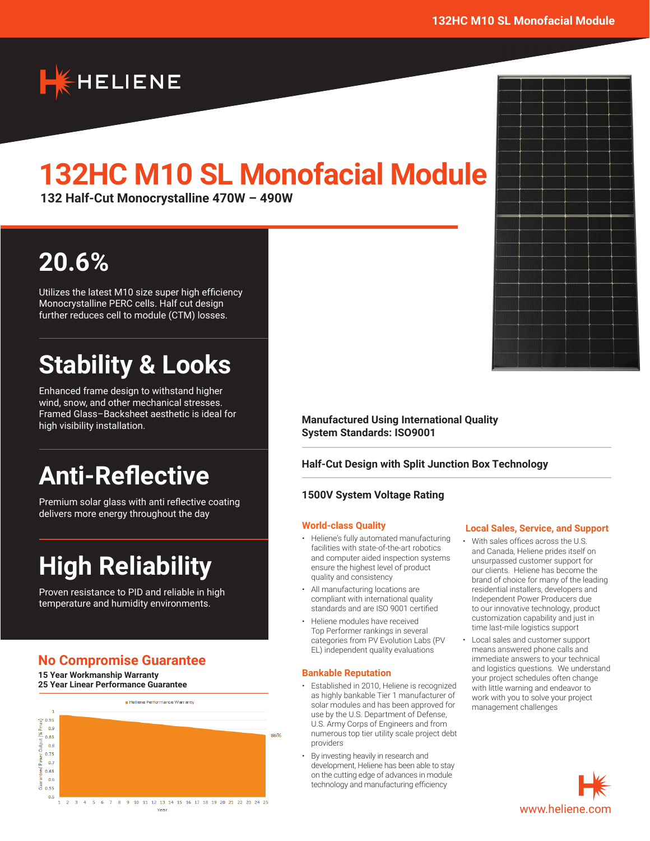

# **132HC M10 SL Monofacial Module**

**132 Half-Cut Monocrystalline 470W – 490W**

# **20.6%**

Utilizes the latest M10 size super high efficiency Monocrystalline PERC cells. Half cut design further reduces cell to module (CTM) losses.

# **Stability & Looks**

Enhanced frame design to withstand higher wind, snow, and other mechanical stresses. Framed Glass–Backsheet aesthetic is ideal for high visibility installation.

# **Anti-Reflective**

Premium solar glass with anti reflective coating delivers more energy throughout the day

# **High Reliability**

Proven resistance to PID and reliable in high temperature and humidity environments.

## **No Compromise Guarantee**

**15 Year Workmanship Warranty 25 Year Linear Performance Guarantee**



**Manufactured Using International Quality System Standards: ISO9001**

### **Half-Cut Design with Split Junction Box Technology**

#### **1500V System Voltage Rating**

#### **World-class Quality**

- Heliene's fully automated manufacturing facilities with state-of-the-art robotics and computer aided inspection systems ensure the highest level of product quality and consistency
- All manufacturing locations are compliant with international quality standards and are ISO 9001 certified
- Heliene modules have received Top Performer rankings in several categories from PV Evolution Labs (PV EL) independent quality evaluations

#### **Bankable Reputation**

- Established in 2010, Heliene is recognized as highly bankable Tier 1 manufacturer of solar modules and has been approved for use by the U.S. Department of Defense, U.S. Army Corps of Engineers and from numerous top tier utility scale project debt providers
- By investing heavily in research and development, Heliene has been able to stay on the cutting edge of advances in module technology and manufacturing efficiency

#### **Local Sales, Service, and Support**

- With sales offices across the U.S. and Canada, Heliene prides itself on unsurpassed customer support for our clients. Heliene has become the brand of choice for many of the leading residential installers, developers and Independent Power Producers due to our innovative technology, product customization capability and just in time last-mile logistics support
- Local sales and customer support means answered phone calls and immediate answers to your technical and logistics questions. We understand your project schedules often change with little warning and endeavor to work with you to solve your project management challenges